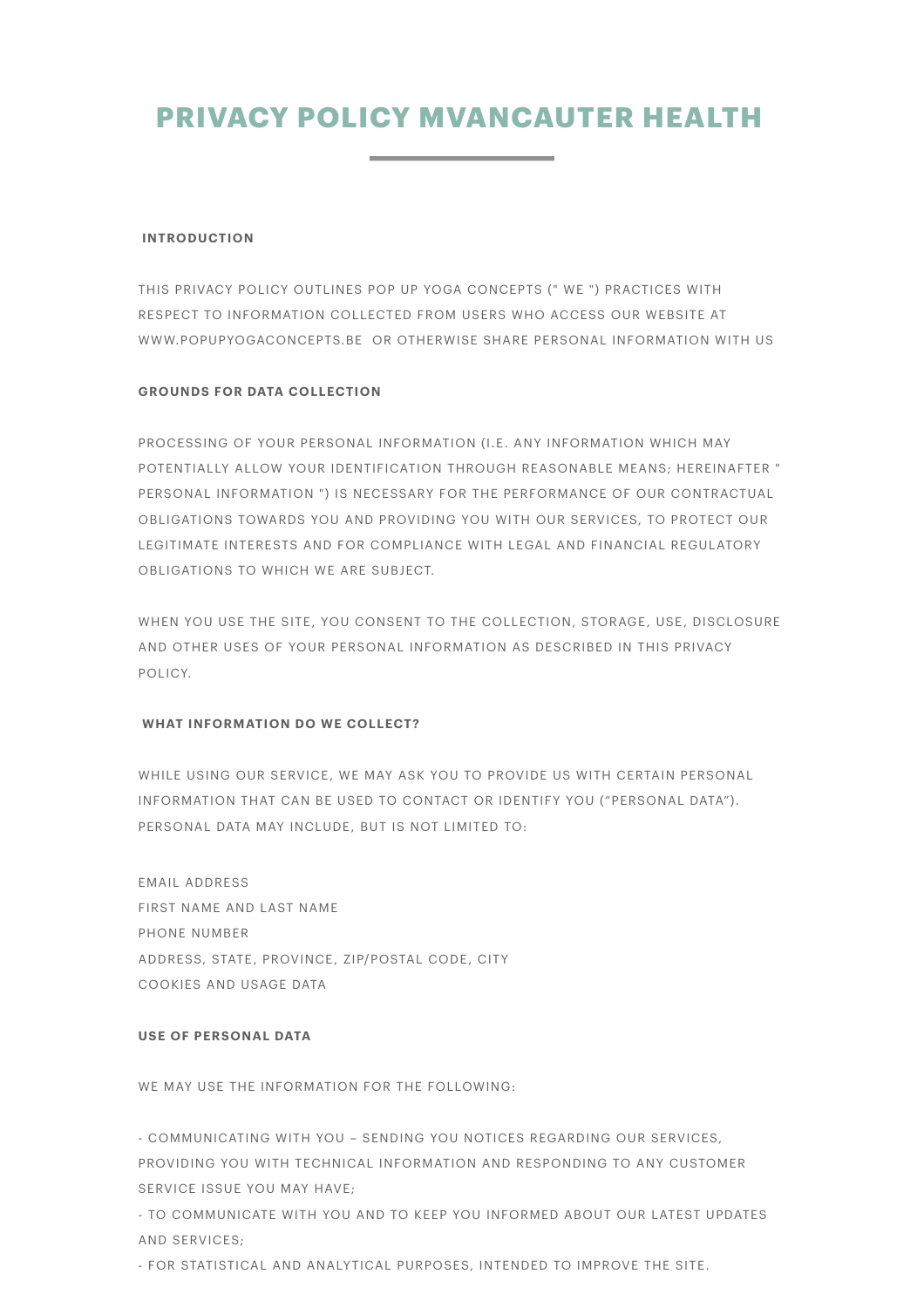# **PRIVACY POLICY MVANCAUTER HEALTH**

#### **INTRODUCTION**

THIS PRIVACY POLICY OUTLINES POP UP YOGA CONCEPTS (" WE ") PRACTICES WITH RESPECT TO INFORMATION COLLECTED FROM USERS WHO ACCESS OUR WEBSITE AT WWW.POPUPYOGACONCEPTS.BE OR OTHERWISE SHARE PERSONAL INFORMATION WITH US

### **GROUNDS FOR DATA COLLECTION**

PROCESSING OF YOUR PERSONAL INFORMATION (I.E. ANY INFORMATION WHICH MAY POTENTIALLY ALLOW YOUR IDENTIFICATION THROUGH REASONABLE MEANS; HEREINAFTER " PERSONAL INFORMATION ") IS NECESSARY FOR THE PERFORMANCE OF OUR CONTRACTUAL OBLIGATIONS TOWARDS YOU AND PROVIDING YOU WITH OUR SERVICES, TO PROTECT OUR LEGITIMATE INTERESTS AND FOR COMPLIANCE WITH LEGAL AND FINANCIAL REGULATORY OBLIGATIONS TO WHICH WE ARE SUBJECT.

WHEN YOU USE THE SITE, YOU CONSENT TO THE COLLECTION, STORAGE, USE, DISCLOSURE AND OTHER USES OF YOUR PERSONAL INFORMATION AS DESCRIBED IN THIS PRIVACY POLICY.

#### **WHAT INFORMATION DO WE COLLECT?**

WHILE USING OUR SERVICE, WE MAY ASK YOU TO PROVIDE US WITH CERTAIN PERSONAL INFORMATION THAT CAN BE USED TO CONTACT OR IDENTIFY YOU ("PERSONAL DATA"). PERSONAL DATA MAY INCLUDE, BUT IS NOT LIMITED TO:

EMAIL ADDRESS FIRST NAME AND LAST NAME PHONE NUMBER ADDRESS, STATE, PROVINCE, ZIP/POSTAL CODE, CITY COOKIES AND USAGE DATA

## **USE OF PERSONAL DATA**

WE MAY USE THE INFORMATION FOR THE FOLLOWING:

- COMMUNICATING WITH YOU – SENDING YOU NOTICES REGARDING OUR SERVICES, PROVIDING YOU WITH TECHNICAL INFORMATION AND RESPONDING TO ANY CUSTOMER SERVICE ISSUE YOU MAY HAVE;

- TO COMMUNICATE WITH YOU AND TO KEEP YOU INFORMED ABOUT OUR LATEST UPDATES AND SERVICES;

- FOR STATISTICAL AND ANALYTICAL PURPOSES, INTENDED TO IMPROVE THE SITE.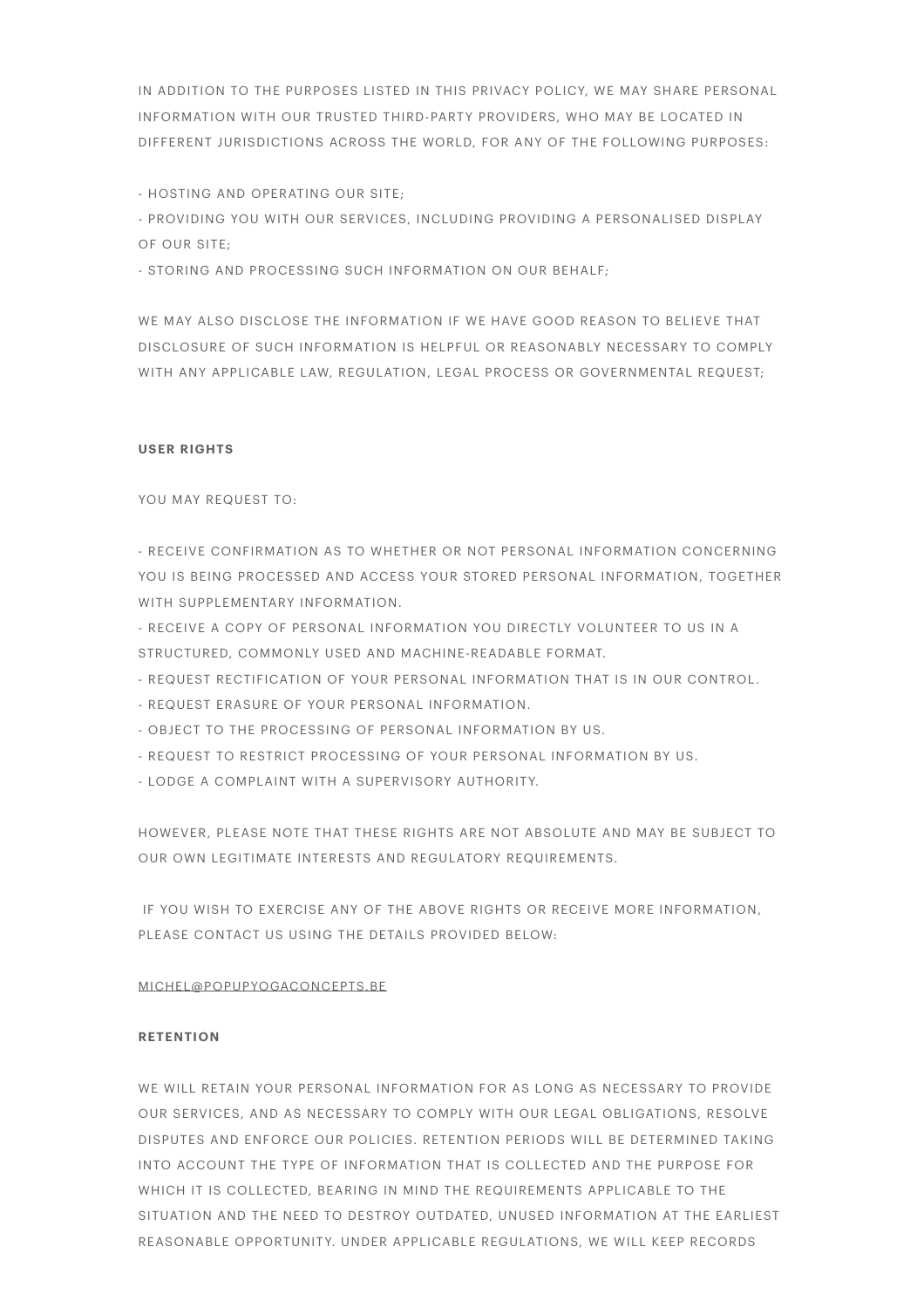IN ADDITION TO THE PURPOSES LISTED IN THIS PRIVACY POLICY, WE MAY SHARE PERSONAL INFORMATION WITH OUR TRUSTED THIRD-PARTY PROVIDERS, WHO MAY BE LOCATED IN DIFFERENT JURISDICTIONS ACROSS THE WORLD, FOR ANY OF THE FOLLOWING PURPOSES:

- HOSTING AND OPERATING OUR SITE;

- PROVIDING YOU WITH OUR SERVICES, INCLUDING PROVIDING A PERSONALISED DISPLAY OF OUR SITE;

- STORING AND PROCESSING SUCH INFORMATION ON OUR BEHALF;

WE MAY ALSO DISCLOSE THE INFORMATION IF WE HAVE GOOD REASON TO BELIEVE THAT DISCLOSURE OF SUCH INFORMATION IS HELPFUL OR REASONABLY NECESSARY TO COMPLY WITH ANY APPLICABLE LAW, REGULATION, LEGAL PROCESS OR GOVERNMENTAL REQUEST;

# **USER RIGHTS**

YOU MAY REQUEST TO:

- RECEIVE CONFIRMATION AS TO WHETHER OR NOT PERSONAL INFORMATION CONCERNING YOU IS BEING PROCESSED AND ACCESS YOUR STORED PERSONAL INFORMATION, TOGETHER WITH SUPPLEMENTARY INFORMATION.

- RECEIVE A COPY OF PERSONAL INFORMATION YOU DIRECTLY VOLUNTEER TO US IN A STRUCTURED, COMMONLY USED AND MACHINE-READABLE FORMAT.

- REQUEST RECTIFICATION OF YOUR PERSONAL INFORMATION THAT IS IN OUR CONTROL.

- REQUEST ERASURE OF YOUR PERSONAL INFORMATION.

- OBJECT TO THE PROCESSING OF PERSONAL INFORMATION BY US.
- REQUEST TO RESTRICT PROCESSING OF YOUR PERSONAL INFORMATION BY US.
- LODGE A COMPLAINT WITH A SUPERVISORY AUTHORITY.

HOWEVER, PLEASE NOTE THAT THESE RIGHTS ARE NOT ABSOLUTE AND MAY BE SUBJECT TO OUR OWN LEGITIMATE INTERESTS AND REGULATORY REQUIREMENTS.

IF YOU WISH TO EXERCISE ANY OF THE ABOVE RIGHTS OR RECEIVE MORE INFORMATION, PLEASE CONTACT US USING THE DETAILS PROVIDED BELOW:

# [MICHEL@POPUPYOGACONCEPTS.BE](mailto:michel@popupyogaconcepts.be)

# **RETENTION**

WE WILL RETAIN YOUR PERSONAL INFORMATION FOR AS LONG AS NECESSARY TO PROVIDE OUR SERVICES, AND AS NECESSARY TO COMPLY WITH OUR LEGAL OBLIGATIONS, RESOLVE DISPUTES AND ENFORCE OUR POLICIES. RETENTION PERIODS WILL BE DETERMINED TAKING INTO ACCOUNT THE TYPE OF INFORMATION THAT IS COLLECTED AND THE PURPOSE FOR WHICH IT IS COLLECTED, BEARING IN MIND THE REQUIREMENTS APPLICABLE TO THE SITUATION AND THE NEED TO DESTROY OUTDATED, UNUSED INFORMATION AT THE EARLIEST REASONABLE OPPORTUNITY. UNDER APPLICABLE REGULATIONS, WE WILL KEEP RECORDS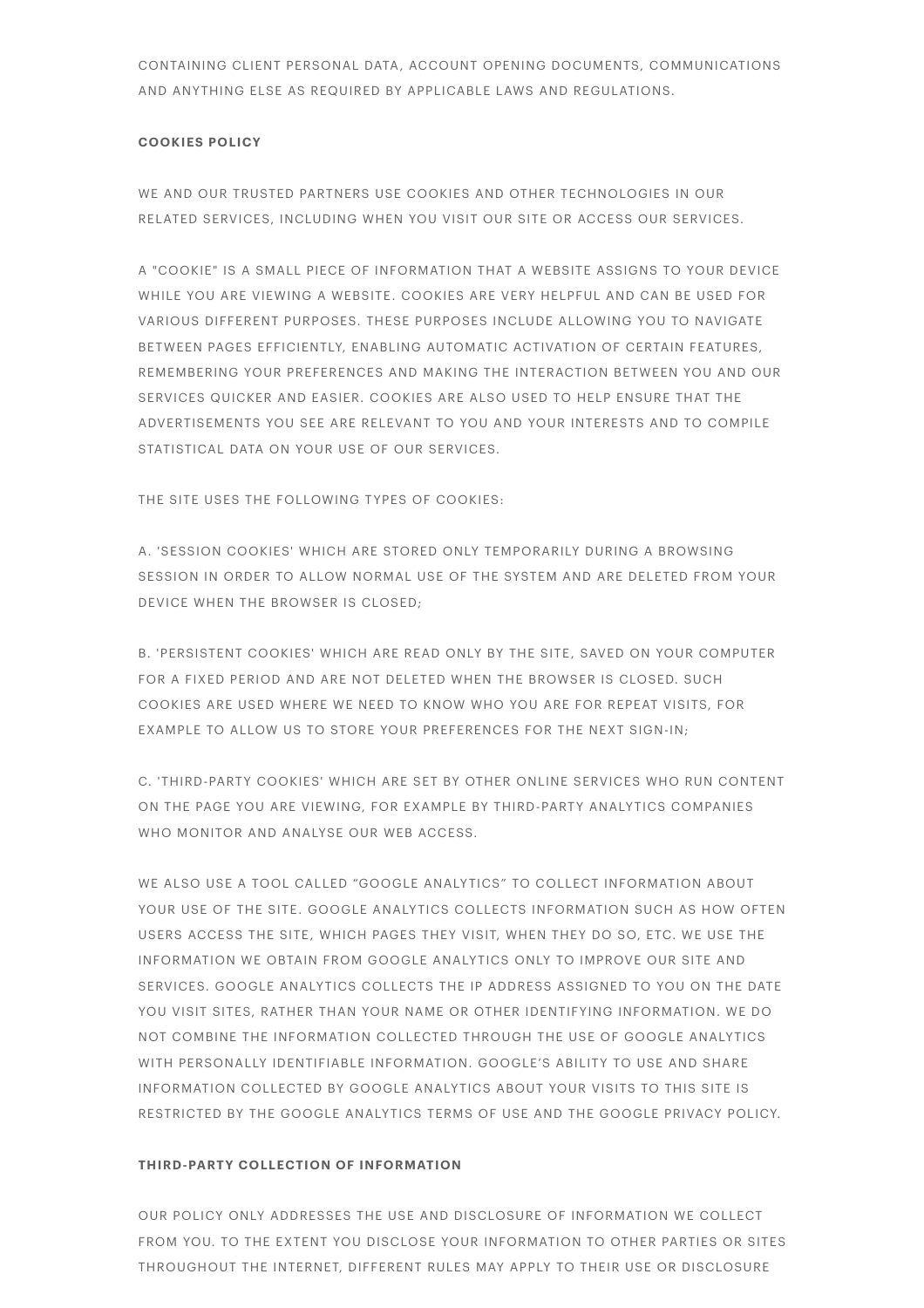CONTAINING CLIENT PERSONAL DATA, ACCOUNT OPENING DOCUMENTS, COMMUNICATIONS AND ANYTHING ELSE AS REQUIRED BY APPLICABLE LAWS AND REGULATIONS.

#### **COOKIES POLICY**

WE AND OUR TRUSTED PARTNERS USE COOKIES AND OTHER TECHNOLOGIES IN OUR RELATED SERVICES, INCLUDING WHEN YOU VISIT OUR SITE OR ACCESS OUR SERVICES.

A "COOKIE" IS A SMALL PIECE OF INFORMATION THAT A WEBSITE ASSIGNS TO YOUR DEVICE WHILE YOU ARE VIEWING A WEBSITE. COOKIES ARE VERY HELPFUL AND CAN BE USED FOR VARIOUS DIFFERENT PURPOSES. THESE PURPOSES INCLUDE ALLOWING YOU TO NAVIGATE BETWEEN PAGES EFFICIENTLY, ENABLING AUTOMATIC ACTIVATION OF CERTAIN FEATURES, REMEMBERING YOUR PREFERENCES AND MAKING THE INTERACTION BETWEEN YOU AND OUR SERVICES QUICKER AND EASIER. COOKIES ARE ALSO USED TO HELP ENSURE THAT THE ADVERTISEMENTS YOU SEE ARE RELEVANT TO YOU AND YOUR INTERESTS AND TO COMPILE STATISTICAL DATA ON YOUR USE OF OUR SERVICES.

THE SITE USES THE FOLLOWING TYPES OF COOKIES:

A. 'SESSION COOKIES' WHICH ARE STORED ONLY TEMPORARILY DURING A BROWSING SESSION IN ORDER TO ALLOW NORMAL USE OF THE SYSTEM AND ARE DELETED FROM YOUR DEVICE WHEN THE BROWSER IS CLOSED;

B. 'PERSISTENT COOKIES' WHICH ARE READ ONLY BY THE SITE, SAVED ON YOUR COMPUTER FOR A FIXED PERIOD AND ARE NOT DELETED WHEN THE BROWSER IS CLOSED. SUCH COOKIES ARE USED WHERE WE NEED TO KNOW WHO YOU ARE FOR REPEAT VISITS, FOR EXAMPLE TO ALLOW US TO STORE YOUR PREFERENCES FOR THE NEXT SIGN-IN;

C. 'THIRD-PARTY COOKIES' WHICH ARE SET BY OTHER ONLINE SERVICES WHO RUN CONTENT ON THE PAGE YOU ARE VIEWING, FOR EXAMPLE BY THIRD-PARTY ANALYTICS COMPANIES WHO MONITOR AND ANALYSE OUR WEB ACCESS.

WE ALSO USE A TOOL CALLED "GOOGLE ANALYTICS" TO COLLECT INFORMATION ABOUT YOUR USE OF THE SITE. GOOGLE ANALYTICS COLLECTS INFORMATION SUCH AS HOW OFTEN USERS ACCESS THE SITE, WHICH PAGES THEY VISIT, WHEN THEY DO SO, ETC. WE USE THE INFORMATION WE OBTAIN FROM GOOGLE ANALYTICS ONLY TO IMPROVE OUR SITE AND SERVICES. GOOGLE ANALYTICS COLLECTS THE IP ADDRESS ASSIGNED TO YOU ON THE DATE YOU VISIT SITES, RATHER THAN YOUR NAME OR OTHER IDENTIFYING INFORMATION. WE DO NOT COMBINE THE INFORMATION COLLECTED THROUGH THE USE OF GOOGLE ANALYTICS WITH PERSONALLY IDENTIFIABLE INFORMATION. GOOGLE'S ABILITY TO USE AND SHARE INFORMATION COLLECTED BY GOOGLE ANALYTICS ABOUT YOUR VISITS TO THIS SITE IS RESTRICTED BY THE GOOGLE ANALYTICS TERMS OF USE AND THE GOOGLE PRIVACY POLICY.

# **THIRD-PARTY COLLECTION OF INFORMATION**

OUR POLICY ONLY ADDRESSES THE USE AND DISCLOSURE OF INFORMATION WE COLLECT FROM YOU. TO THE EXTENT YOU DISCLOSE YOUR INFORMATION TO OTHER PARTIES OR SITES THROUGHOUT THE INTERNET, DIFFERENT RULES MAY APPLY TO THEIR USE OR DISCLOSURE